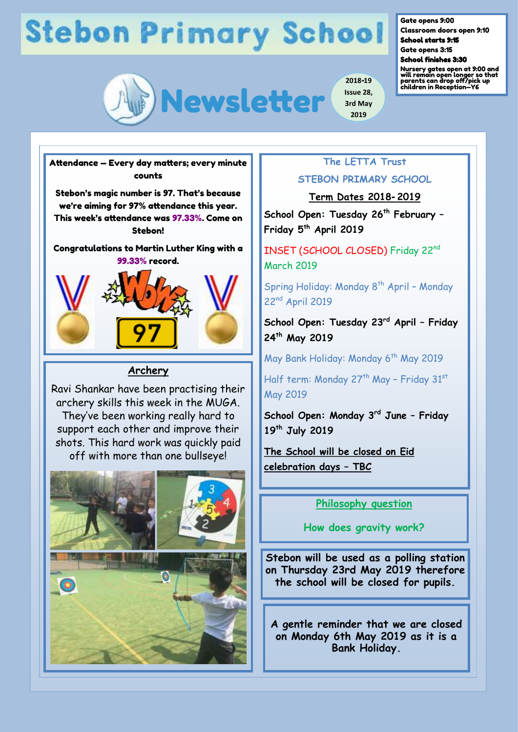# **Stebon Primary School**



Gate opens 9:00

Classroom doors open 9:10 School starts 9:15

Gate opens 3:15

School finishes 3:30

Nursery gates open at 9:00 and will remain open longer so that parents can drop off/pick up children in Reception—Y6



### **Archery**

Ravi Shankar have been practising their archery skills this week in the MUGA. They've been working really hard to support each other and improve their shots. This hard work was quickly paid off with more than one bullseye!



## **The LETTA Trust STEBON PRIMARY SCHOOL**

**2019**

**Term Dates 2018-2019** 

**School Open: Tuesday 26th February – Friday 5th April 2019**

INSET (SCHOOL CLOSED) Friday 22nd March 2019

Spring Holiday: Monday 8<sup>th</sup> April - Monday 22nd April 2019

**School Open: Tuesday 23rd April – Friday 24th May 2019**

May Bank Holiday: Monday 6<sup>th</sup> May 2019

Half term: Monday  $27^{th}$  May - Friday  $31^{st}$ May 2019

**School Open: Monday 3rd June – Friday 19th July 2019**

**The School will be closed on Eid celebration days – TBC** 

**Philosophy question** 

**How does gravity work?**

**Stebon will be used as a polling station on Thursday 23rd May 2019 therefore the school will be closed for pupils.** 

**A gentle reminder that we are closed on Monday 6th May 2019 as it is a Bank Holiday.**